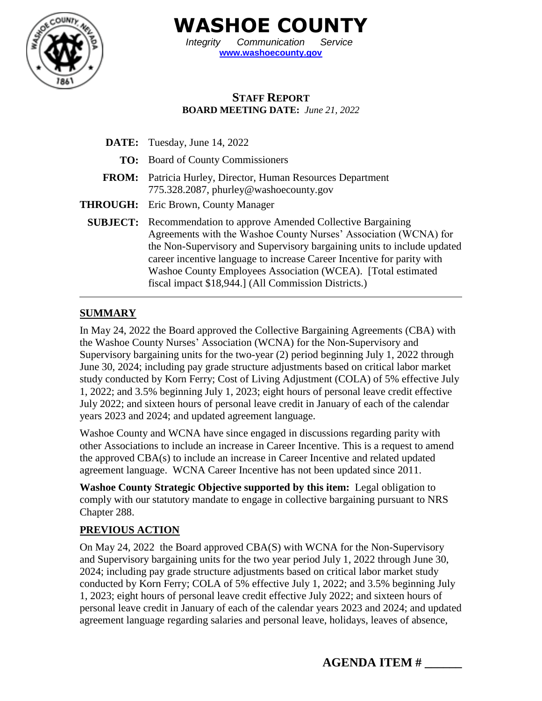

**WASHOE COUNTY**

*Integrity Communication Service* **[www.washoecounty.gov](http://www.washoecounty.gov/)**

## **STAFF REPORT BOARD MEETING DATE:** *June 21, 2022*

|              | <b>DATE:</b> Tuesday, June 14, 2022                                                                                                                                                                                                                                                                                                                                                                                       |
|--------------|---------------------------------------------------------------------------------------------------------------------------------------------------------------------------------------------------------------------------------------------------------------------------------------------------------------------------------------------------------------------------------------------------------------------------|
|              | <b>TO:</b> Board of County Commissioners                                                                                                                                                                                                                                                                                                                                                                                  |
| <b>FROM:</b> | Patricia Hurley, Director, Human Resources Department<br>775.328.2087, phurley@washoecounty.gov                                                                                                                                                                                                                                                                                                                           |
|              | <b>THROUGH:</b> Eric Brown, County Manager                                                                                                                                                                                                                                                                                                                                                                                |
|              | <b>SUBJECT:</b> Recommendation to approve Amended Collective Bargaining<br>Agreements with the Washoe County Nurses' Association (WCNA) for<br>the Non-Supervisory and Supervisory bargaining units to include updated<br>career incentive language to increase Career Incentive for parity with<br>Washoe County Employees Association (WCEA). [Total estimated]<br>fiscal impact \$18,944.] (All Commission Districts.) |

### **SUMMARY**

In May 24, 2022 the Board approved the Collective Bargaining Agreements (CBA) with the Washoe County Nurses' Association (WCNA) for the Non-Supervisory and Supervisory bargaining units for the two-year (2) period beginning July 1, 2022 through June 30, 2024; including pay grade structure adjustments based on critical labor market study conducted by Korn Ferry; Cost of Living Adjustment (COLA) of 5% effective July 1, 2022; and 3.5% beginning July 1, 2023; eight hours of personal leave credit effective July 2022; and sixteen hours of personal leave credit in January of each of the calendar years 2023 and 2024; and updated agreement language.

Washoe County and WCNA have since engaged in discussions regarding parity with other Associations to include an increase in Career Incentive. This is a request to amend the approved CBA(s) to include an increase in Career Incentive and related updated agreement language. WCNA Career Incentive has not been updated since 2011.

**Washoe County Strategic Objective supported by this item:** Legal obligation to comply with our statutory mandate to engage in collective bargaining pursuant to NRS Chapter 288.

## **PREVIOUS ACTION**

On May 24, 2022 the Board approved CBA(S) with WCNA for the Non-Supervisory and Supervisory bargaining units for the two year period July 1, 2022 through June 30, 2024; including pay grade structure adjustments based on critical labor market study conducted by Korn Ferry; COLA of 5% effective July 1, 2022; and 3.5% beginning July 1, 2023; eight hours of personal leave credit effective July 2022; and sixteen hours of personal leave credit in January of each of the calendar years 2023 and 2024; and updated agreement language regarding salaries and personal leave, holidays, leaves of absence,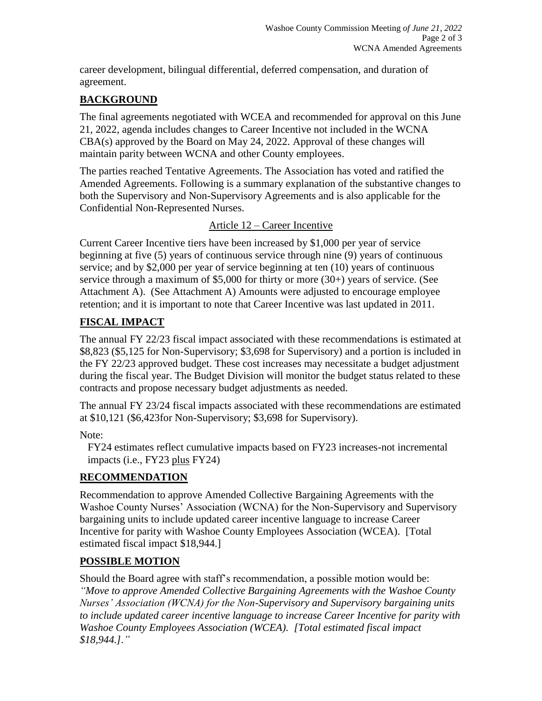career development, bilingual differential, deferred compensation, and duration of agreement.

## **BACKGROUND**

The final agreements negotiated with WCEA and recommended for approval on this June 21, 2022, agenda includes changes to Career Incentive not included in the WCNA CBA(s) approved by the Board on May 24, 2022. Approval of these changes will maintain parity between WCNA and other County employees.

The parties reached Tentative Agreements. The Association has voted and ratified the Amended Agreements. Following is a summary explanation of the substantive changes to both the Supervisory and Non-Supervisory Agreements and is also applicable for the Confidential Non-Represented Nurses.

### Article 12 – Career Incentive

Current Career Incentive tiers have been increased by \$1,000 per year of service beginning at five (5) years of continuous service through nine (9) years of continuous service; and by \$2,000 per year of service beginning at ten (10) years of continuous service through a maximum of \$5,000 for thirty or more (30+) years of service. (See Attachment A). (See Attachment A) Amounts were adjusted to encourage employee retention; and it is important to note that Career Incentive was last updated in 2011.

# **FISCAL IMPACT**

The annual FY 22/23 fiscal impact associated with these recommendations is estimated at \$8,823 (\$5,125 for Non-Supervisory; \$3,698 for Supervisory) and a portion is included in the FY 22/23 approved budget. These cost increases may necessitate a budget adjustment during the fiscal year. The Budget Division will monitor the budget status related to these contracts and propose necessary budget adjustments as needed.

The annual FY 23/24 fiscal impacts associated with these recommendations are estimated at \$10,121 (\$6,423for Non-Supervisory; \$3,698 for Supervisory).

### Note:

FY24 estimates reflect cumulative impacts based on FY23 increases-not incremental impacts (i.e., FY23 plus FY24)

### **RECOMMENDATION**

Recommendation to approve Amended Collective Bargaining Agreements with the Washoe County Nurses' Association (WCNA) for the Non-Supervisory and Supervisory bargaining units to include updated career incentive language to increase Career Incentive for parity with Washoe County Employees Association (WCEA). [Total estimated fiscal impact \$18,944.]

### **POSSIBLE MOTION**

Should the Board agree with staff's recommendation, a possible motion would be: *"Move to approve Amended Collective Bargaining Agreements with the Washoe County Nurses' Association (WCNA) for the Non-Supervisory and Supervisory bargaining units to include updated career incentive language to increase Career Incentive for parity with Washoe County Employees Association (WCEA). [Total estimated fiscal impact \$18,944.]."*